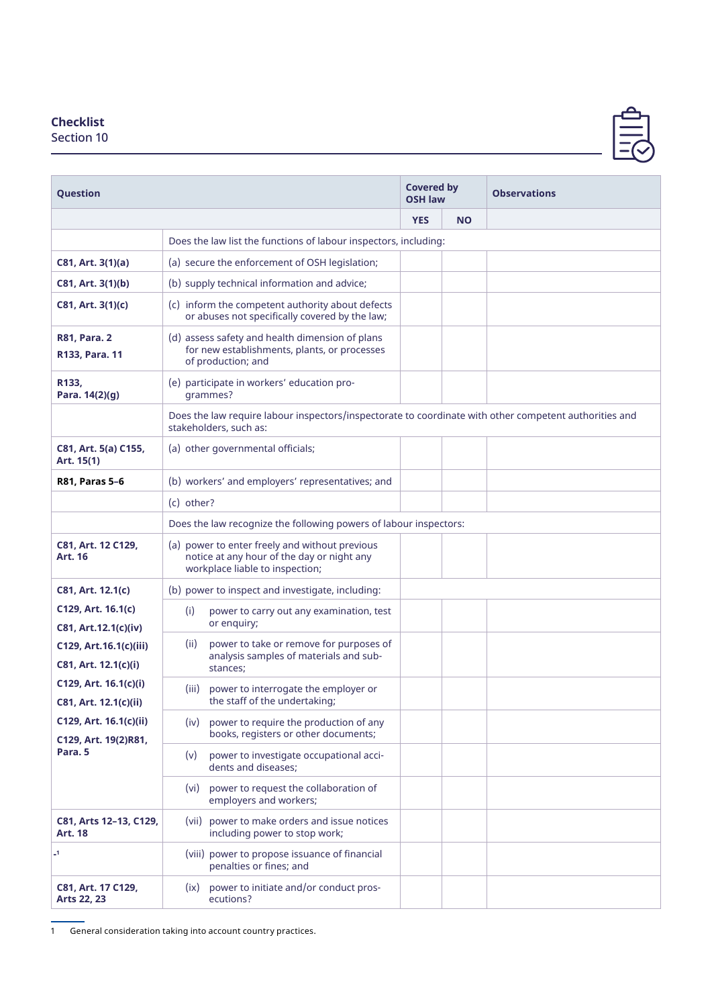## **Checklist**

Section 10

| Question                                       |                                                                                                                                  |            | <b>Covered by</b><br><b>OSH law</b> | <b>Observations</b> |  |  |  |
|------------------------------------------------|----------------------------------------------------------------------------------------------------------------------------------|------------|-------------------------------------|---------------------|--|--|--|
|                                                |                                                                                                                                  | <b>YES</b> | <b>NO</b>                           |                     |  |  |  |
|                                                | Does the law list the functions of labour inspectors, including:                                                                 |            |                                     |                     |  |  |  |
| C81, Art. 3(1)(a)                              | (a) secure the enforcement of OSH legislation;                                                                                   |            |                                     |                     |  |  |  |
| C81, Art. 3(1)(b)                              | (b) supply technical information and advice;                                                                                     |            |                                     |                     |  |  |  |
| C81, Art. 3(1)(c)                              | (c) inform the competent authority about defects<br>or abuses not specifically covered by the law;                               |            |                                     |                     |  |  |  |
| <b>R81, Para. 2</b><br>R133, Para. 11          | (d) assess safety and health dimension of plans<br>for new establishments, plants, or processes<br>of production; and            |            |                                     |                     |  |  |  |
| R133,<br>Para. 14(2)(g)                        | (e) participate in workers' education pro-<br>grammes?                                                                           |            |                                     |                     |  |  |  |
|                                                | Does the law require labour inspectors/inspectorate to coordinate with other competent authorities and<br>stakeholders, such as: |            |                                     |                     |  |  |  |
| C81, Art. 5(a) C155,<br>Art. 15(1)             | (a) other governmental officials;                                                                                                |            |                                     |                     |  |  |  |
| R81, Paras 5-6                                 | (b) workers' and employers' representatives; and                                                                                 |            |                                     |                     |  |  |  |
|                                                | (c) other?                                                                                                                       |            |                                     |                     |  |  |  |
|                                                | Does the law recognize the following powers of labour inspectors:                                                                |            |                                     |                     |  |  |  |
| C81, Art. 12 C129,<br><b>Art. 16</b>           | (a) power to enter freely and without previous<br>notice at any hour of the day or night any<br>workplace liable to inspection;  |            |                                     |                     |  |  |  |
| C81, Art. 12.1(c)                              | (b) power to inspect and investigate, including:                                                                                 |            |                                     |                     |  |  |  |
| C129, Art. 16.1(c)<br>C81, Art.12.1(c)(iv)     | (i)<br>power to carry out any examination, test<br>or enquiry;                                                                   |            |                                     |                     |  |  |  |
| C129, Art.16.1(c)(iii)<br>C81, Art. 12.1(c)(i) | power to take or remove for purposes of<br>(ii)<br>analysis samples of materials and sub-<br>stances;                            |            |                                     |                     |  |  |  |
| C129, Art. 16.1(c)(i)<br>C81, Art. 12.1(c)(ii) | power to interrogate the employer or<br>(iii)<br>the staff of the undertaking:                                                   |            |                                     |                     |  |  |  |
| C129, Art. 16.1(c)(ii)<br>C129, Art. 19(2)R81, | (iv) power to require the production of any<br>books, registers or other documents;                                              |            |                                     |                     |  |  |  |
| Para. 5                                        | power to investigate occupational acci-<br>(v)<br>dents and diseases;                                                            |            |                                     |                     |  |  |  |
|                                                | power to request the collaboration of<br>(vi)<br>employers and workers;                                                          |            |                                     |                     |  |  |  |
| C81, Arts 12-13, C129,<br><b>Art. 18</b>       | (vii) power to make orders and issue notices<br>including power to stop work;                                                    |            |                                     |                     |  |  |  |
| $\mathbf{I}$                                   | (viii) power to propose issuance of financial<br>penalties or fines; and                                                         |            |                                     |                     |  |  |  |
| C81, Art. 17 C129,<br>Arts 22, 23              | (ix) power to initiate and/or conduct pros-<br>ecutions?                                                                         |            |                                     |                     |  |  |  |

1 General consideration taking into account country practices.